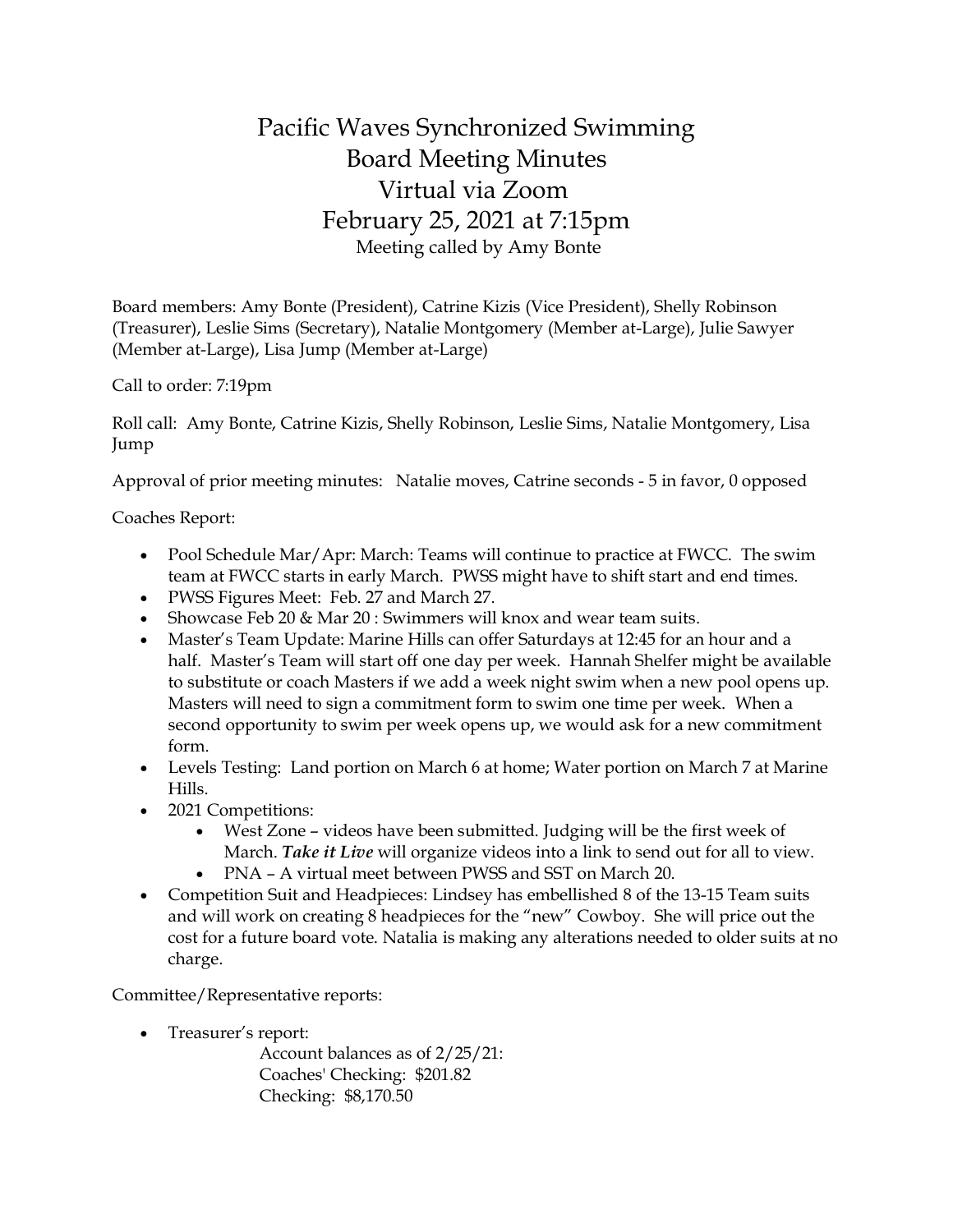## Pacific Waves Synchronized Swimming Board Meeting Minutes Virtual via Zoom February 25, 2021 at 7:15pm Meeting called by Amy Bonte

Board members: Amy Bonte (President), Catrine Kizis (Vice President), Shelly Robinson (Treasurer), Leslie Sims (Secretary), Natalie Montgomery (Member at-Large), Julie Sawyer (Member at-Large), Lisa Jump (Member at-Large)

Call to order: 7:19pm

Roll call: Amy Bonte, Catrine Kizis, Shelly Robinson, Leslie Sims, Natalie Montgomery, Lisa Jump

Approval of prior meeting minutes: Natalie moves, Catrine seconds - 5 in favor, 0 opposed

Coaches Report:

- Pool Schedule Mar/Apr: March: Teams will continue to practice at FWCC. The swim team at FWCC starts in early March. PWSS might have to shift start and end times.
- PWSS Figures Meet: Feb. 27 and March 27.
- Showcase Feb 20 & Mar 20 : Swimmers will knox and wear team suits.
- Master's Team Update: Marine Hills can offer Saturdays at 12:45 for an hour and a half. Master's Team will start off one day per week. Hannah Shelfer might be available to substitute or coach Masters if we add a week night swim when a new pool opens up. Masters will need to sign a commitment form to swim one time per week. When a second opportunity to swim per week opens up, we would ask for a new commitment form.
- Levels Testing: Land portion on March 6 at home; Water portion on March 7 at Marine Hills.
- 2021 Competitions:
	- West Zone videos have been submitted. Judging will be the first week of March. *Take it Live* will organize videos into a link to send out for all to view. • PNA – A virtual meet between PWSS and SST on March 20.
- Competition Suit and Headpieces: Lindsey has embellished 8 of the 13-15 Team suits and will work on creating 8 headpieces for the "new" Cowboy. She will price out the cost for a future board vote. Natalia is making any alterations needed to older suits at no charge.

Committee/Representative reports:

• Treasurer's report:

Account balances as of 2/25/21: Coaches' Checking: \$201.82 Checking: \$8,170.50